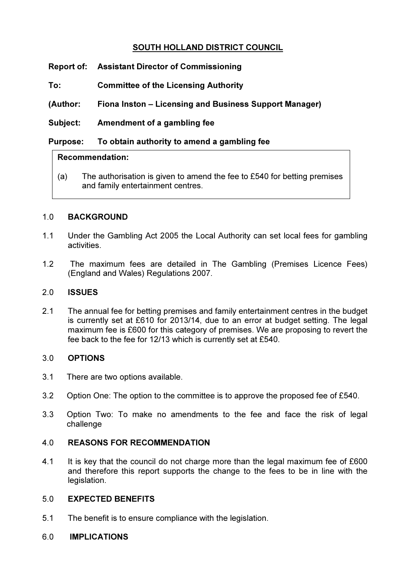# SOUTH HOLLAND DISTRICT COUNCIL

- Report of: Assistant Director of Commissioning
- To: Committee of the Licensing Authority
- (Author: Fiona Inston Licensing and Business Support Manager)
- Subject: Amendment of a gambling fee

#### Purpose: To obtain authority to amend a gambling fee

#### Recommendation:

(a) The authorisation is given to amend the fee to  $£540$  for betting premises and family entertainment centres.

#### 1.0 BACKGROUND

- 1.1 Under the Gambling Act 2005 the Local Authority can set local fees for gambling activities.
- 1.2 The maximum fees are detailed in The Gambling (Premises Licence Fees) (England and Wales) Regulations 2007.

#### 2.0 ISSUES

2.1 The annual fee for betting premises and family entertainment centres in the budget is currently set at £610 for 2013/14, due to an error at budget setting. The legal maximum fee is £600 for this category of premises. We are proposing to revert the fee back to the fee for 12/13 which is currently set at £540.

#### 3.0 OPTIONS

- 3.1 There are two options available.
- 3.2 Option One: The option to the committee is to approve the proposed fee of £540.
- 3.3 Option Two: To make no amendments to the fee and face the risk of legal challenge

## 4.0 REASONS FOR RECOMMENDATION

4.1 It is key that the council do not charge more than the legal maximum fee of £600 and therefore this report supports the change to the fees to be in line with the legislation.

## 5.0 EXPECTED BENEFITS

- 5.1 The benefit is to ensure compliance with the legislation.
- 6.0 IMPLICATIONS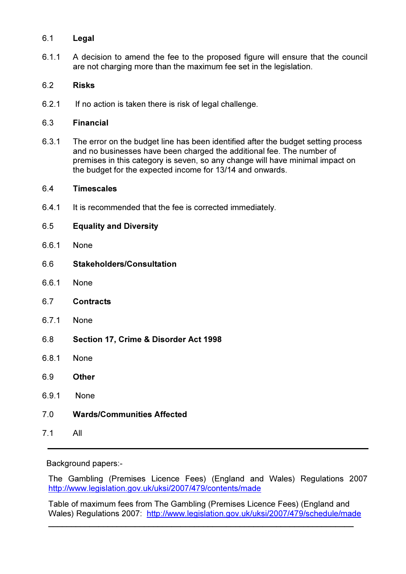## 6.1 Legal

6.1.1 A decision to amend the fee to the proposed figure will ensure that the council are not charging more than the maximum fee set in the legislation.

# 6.2 Risks

6.2.1 If no action is taken there is risk of legal challenge.

# 6.3 Financial

6.3.1 The error on the budget line has been identified after the budget setting process and no businesses have been charged the additional fee. The number of premises in this category is seven, so any change will have minimal impact on the budget for the expected income for 13/14 and onwards.

## 6.4 Timescales

6.4.1 It is recommended that the fee is corrected immediately.

# 6.5 Equality and Diversity

- 6.6.1 None
- 6.6 Stakeholders/Consultation
- 6.6.1 None
- 6.7 Contracts
- 6.7.1 None
- 6.8 Section 17, Crime & Disorder Act 1998
- 6.8.1 None
- 6.9 Other
- 6.9.1 None
- 7.0 Wards/Communities Affected
- 7.1 All

Background papers:-

The Gambling (Premises Licence Fees) (England and Wales) Regulations 2007 http://www.legislation.gov.uk/uksi/2007/479/contents/made

Table of maximum fees from The Gambling (Premises Licence Fees) (England and Wales) Regulations 2007: http://www.legislation.gov.uk/uksi/2007/479/schedule/made

 $\overline{a}$  , and the contribution of the contribution of the contribution of the contribution of the contribution of the contribution of the contribution of the contribution of the contribution of the contribution of the co